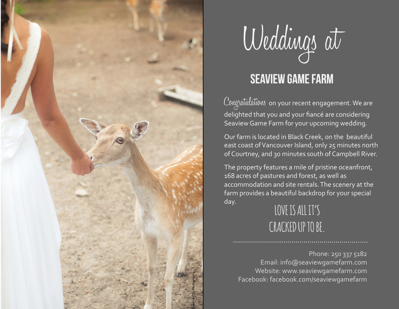



# **SEAVIEW GAME FARM**

Congratulations on your recent engagement. We are delighted that you and your fiancé are considering Seaview Game Farm for your upcoming wedding.

Our farm is located in Black Creek, on the beautiful east coast of Vancouver Island, only 25 minutes north of Courtney, and 30 minutes south of Campbell River.

The property features a mile of pristine oceanfront, 168 acres of pastures and forest, as well as accommodation and site rentals. The scenery at the farm provides a beautiful backdrop for your special day.

# **LOVE IS ALL IT 'S CRACKED UP TO BE.**

Phone: 250 337 5182 Email: [info@seaviewgamefarm.com](mailto:info@seaviewgamefarm.com)  Website: [www.seaviewgamefarm.com](http://www.seaviewgamefarm.com)  Facebook: facebook.com/seaviewgamefarm